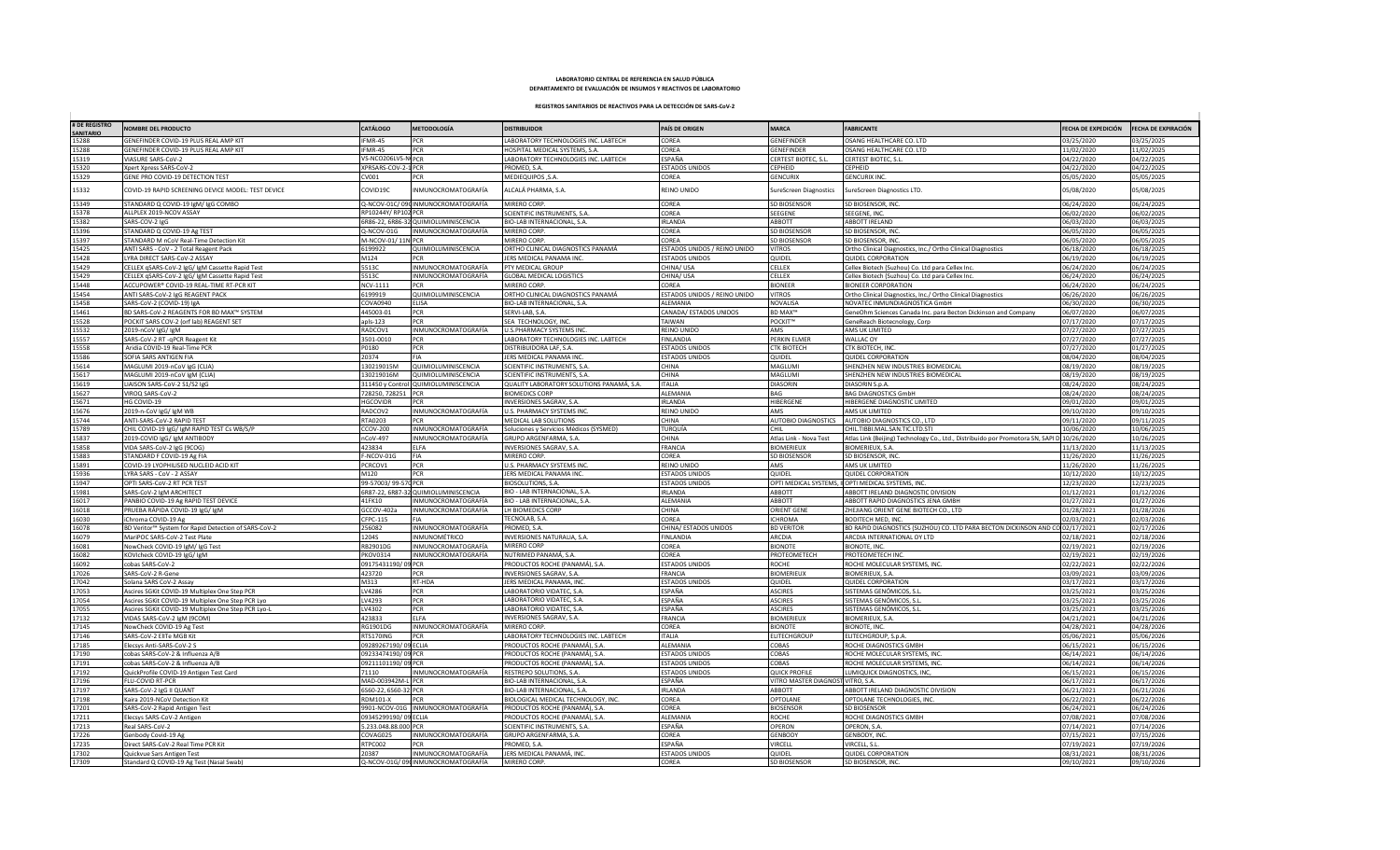## **LABORATORIO CENTRAL DE REFERENCIA EN SALUD PÚBLICA DEPARTAMENTO DE EVALUACIÓN DE INSUMOS Y REACTIVOS DE LABORATORIO**

## **REGISTROS SANITARIOS DE REACTIVOS PARA LA DETECCIÓN DE SARS-CoV-2**

| <b>DE REGISTRO</b><br><b>ANITARIC</b> | <b>IOMBRE DEL PRODUCTO</b>                                                | <b>CATÁLOGO</b>                   | METODOLOGÍA                          | <b>DISTRIBUIDOR</b>                                                   | PAÍS DE ORIGEN                  | <b>MARCA</b>                       | <b>FABRICANTE</b>                                                             | ECHA DE EXPEDICIÓN       | <b>FECHA DE EXPIRACIÓN</b> |
|---------------------------------------|---------------------------------------------------------------------------|-----------------------------------|--------------------------------------|-----------------------------------------------------------------------|---------------------------------|------------------------------------|-------------------------------------------------------------------------------|--------------------------|----------------------------|
| 5288                                  | ENEFINDER COVID-19 PLUS REAL AMP KIT                                      | <b>FMR-45</b>                     |                                      | LABORATORY TECHNOLOGIES INC. LABTECH                                  | <b>ORFA</b>                     | SENEFINDER                         | <b>OSANG HEALTHCARE CO. LTD</b>                                               | 3/25/2020                | 3/25/2025                  |
| 5288<br>5319                          | GENEFINDER COVID-19 PLUS REAL AMP KIT<br><b>VIASURE SARS-CoV-2</b>        | IFMR-45<br>VS-NCO206LVS-N PCR     | PCR                                  | HOSPITAL MEDICAL SYSTEMS, S.A<br>LABORATORY TECHNOLOGIES INC. LABTECH | COREA<br>ESPAÑA                 | GENEFINDER<br>CERTEST BIOTEC, S.L. | OSANG HEALTHCARE CO. LTD<br>CERTEST BIOTEC, S.L                               | 1/02/2020<br>04/22/2020  | 11/02/2025<br>04/22/2025   |
| 5320                                  |                                                                           | XPRSARS-COV-2-                    | <b>PCR</b>                           | PROMED, S.A.                                                          | <b>ESTADOS UNIDOS</b>           | <b>CEPHEID</b>                     | <b>FPHFID</b>                                                                 | 04/22/2020               | 04/22/2025                 |
| 5329                                  | <b>Xpert Xpress SARS-CoV-2</b><br><b>GENE PRO COVID-19 DETECTION TEST</b> | CV001                             | PCR                                  | MEDIEQUIPOS, S.A.                                                     | COREA                           | <b>GENCURIX</b>                    | <b>GENCURIX INC</b>                                                           | 05/05/2020               | 05/05/2025                 |
|                                       |                                                                           |                                   |                                      |                                                                       |                                 |                                    |                                                                               |                          |                            |
| 5332                                  | COVID-19 RAPID SCREENING DEVICE MODEL: TEST DEVICE                        | COVID19C                          | INMUNOCROMATOGRAFÍA                  | ALCALÁ PHARMA, S.A.                                                   | REINO UNIDO                     | ureScreen Diagnostics              | SureScreen Diagnostics LTD.                                                   | 5/08/2020                | 05/08/2025                 |
| 15349<br>5378                         | STANDARD Q COVID-19 IgM/ IgG COMBO<br>ALLPLEX 2019-NCOV ASSAY             | RP10244Y/RP102 PCR                | Q-NCOV-01C/090 INMUNOCROMATOGRAFÍA   | MIRERO CORP<br>SCIENTIFIC INSTRUMENTS, S.A.                           | CORFA<br>COREA                  | SD BIOSENSOR<br>EEGENE             | SD BIOSENSOR, INC.<br>SEEGENE, INC.                                           | 06/24/2020<br>06/02/2020 | 06/24/2025<br>06/02/2025   |
| 5382                                  | SARS-COV-2 IgG                                                            |                                   | 6R86-22, 6R86-32 QUIMIOLUMINISCENCIA | BIO-LAB INTERNACIONAL, S.A.                                           | <b>IRLANDA</b>                  | ABBOTT                             | ABBOTT IRELAND                                                                | 06/03/2020               | 06/03/2025                 |
| 5396                                  | TANDARD Q COVID-19 Ag TEST                                                | $0-NCOV-01G$                      | <b>INMUNOCROMATOGRAFÍA</b>           | MIRERO CORP                                                           | COREA                           | <b>D BIOSENSOR</b>                 | <b>SD BIOSENSOR. IN</b>                                                       | 06/05/2020               | 06/05/2025                 |
| 5397                                  | TANDARD M nCoV Real-Time Detection Kit                                    | M-NCOV-01/11N PCR                 |                                      | MIRERO CORP                                                           | <b>ORFA</b>                     | <b>D BIOSENSOR</b>                 | SD BIOSENSOR. INC                                                             | 6/05/2020                | 06/05/2025                 |
| 5425                                  | ANTI SARS - CoV - 2 Total Reagent Pack                                    | 199922                            | QUIMIOLUMINISCENCIA                  | ORTHO CLINICAL DIAGNOSTICS PANAMÁ                                     | ESTADOS UNIDOS / REINO UNIDO    | <b>JITROS</b>                      | Ortho Clinical Diagnostics, Inc./ Ortho Clinical Diagnostics                  | 6/18/2020                | 06/18/2025                 |
| 5428                                  | YRA DIRECT SARS-CoV-2 ASSAY                                               | M124                              | <b>PCR</b>                           | JERS MEDICAL PANAMA INC                                               | <b>ESTADOS UNIDOS</b>           | <b>QUIDEL</b>                      | <b>QUIDEL CORPORATION</b>                                                     | 6/19/2020                | 06/19/2025                 |
| 5429                                  | CELLEX qSARS-CoV-2 IgG/ IgM Cassette Rapid Test                           | 5513C                             | <b>INMUNOCROMATOGRAFÍA</b>           | PTY MEDICAL GROUP                                                     | HINA/USA                        | ELLEX                              | Cellex Biotech (Suzhou) Co. Ltd para Cellex Inc                               | 06/24/2020               | 06/24/2025                 |
| 15429                                 | CELLEX gSARS-CoV-2 IgG/ IgM Cassette Rapid Test                           | 5513C                             | <b>INMUNOCROMATOGRAFÍA</b>           | <b>GLOBAL MEDICAL LOGISTICS</b>                                       | CHINA/USA                       | CELLEX                             | Cellex Biotech (Suzhou) Co. Itd nara Cellex Inc.                              | 06/24/2020               | 06/24/2025                 |
| 5448                                  | ACCUPOWER® COVID-19 REAL-TIME RT-PCR KIT                                  | <b>NCV-1111</b>                   | <b>PCR</b>                           | MIRERO CORP                                                           | CORFA                           | <b>BIONFFR</b>                     | <b>BIONEER CORPORATION</b>                                                    | 06/24/2020               | 06/24/2025                 |
| 5454                                  | ANTI SARS-CoV-2 IgG REAGENT PACK                                          | 6199919                           | QUIMIOLUMINISCENCIA                  | ORTHO CLINICAL DIAGNOSTICS PANAMÁ                                     | ESTADOS UNIDOS / REINO UNIDO    | VITROS                             | Ortho Clinical Diagnostics, Inc./ Ortho Clinical Diagnostics                  | 06/26/2020               | 06/26/2025                 |
| 15458                                 | SARS-CoV-2 (COVID-19) IgA                                                 | <b>COVA0940</b>                   | <b>ELISA</b>                         | BIO-LAB INTERNACIONAL, S.A.                                           | ΔΙ ΕΜΔΝΙΔ                       | <b>NOVALISA</b>                    | NOVATEC INMUNDIAGNOSTICA GmbH                                                 | 06/30/2020               | 06/30/2025                 |
| 15461                                 | BD SARS-CoV-2 REAGENTS FOR BD MAX™ SYSTEM                                 | 445003-01                         | <b>PCR</b>                           | SFRVI-LAB. S.A.                                                       | CANADA/ ESTADOS UNIDOS          | <b>BD MAX™</b>                     | GeneOhm Sciences Canada Inc. para Becton Dickinson and Company                | 06/07/2020               | 06/07/2025                 |
| 15528                                 | POCKIT SARS COV-2 (orf lab) REAGENT SET                                   | apls-123                          | PCR                                  | SEA TECHNOLOGY, INC.                                                  | TAIWAN                          | POCKIT™                            | GeneReach Biotecnology, Corp                                                  | 07/17/2020               | 07/17/2025                 |
| 15532                                 | 2019-nCoV IgG/ IgM                                                        | RADCOV1                           | INMUNOCROMATOGRAFÍA                  | U.S.PHARMACY SYSTEMS INC                                              | REINO UNIDO                     | AMS                                | AMS UK LIMITED                                                                | 07/27/2020               | 07/27/2025                 |
| 15557                                 | SARS-CoV-2 RT -qPCR Reagent Kit                                           | 3501-0010                         | PCR                                  | LABORATORY TECHNOLOGIES INC. LABTECH                                  | <b>FINI ANDIA</b>               | PERKIN ELMER                       | WALLAC OY                                                                     | 07/27/2020               | 07/27/2025                 |
| 15558                                 | Aridia COVID-19 Real-Time PCR                                             | P0180                             | <b>PCR</b>                           | DISTRIBUIDORA LAF. S.A.                                               | <b>ESTADOS UNIDOS</b>           | <b>CTK BIOTECH</b>                 | CTK BIOTECH. INC.                                                             | 07/27/2020               | 01/27/2025                 |
| 5586                                  | SOFIA SARS ANTIGEN FIA                                                    | 20374                             | <b>FIA</b>                           | JERS MEDICAL PANAMA INC                                               | <b>ESTADOS UNIDOS</b>           | QUIDEL                             | <b>OUIDEL CORPORATION</b>                                                     | 08/04/2020               | 08/04/2025                 |
| 5614                                  | MAGLUMI 2019-nCoV IgG (CLIA)                                              | 130219015M                        | <b>OUIMIOLUMINISCENCIA</b>           | SCIENTIFIC INSTRUMENTS, S.A.                                          | CHINA                           | MAGLUMI                            | <b>HENZHEN NEW INDUSTRIES BIOMEDICAL</b>                                      | 08/19/2020               | 08/19/2025                 |
| 5617                                  | MAGLUMI 2019-nCoV IgM (CLIA                                               | 30219016M                         | QUIMIOLUMINISCENCIA                  | SCIENTIFIC INSTRUMENTS, S.A                                           | CHINA                           | MAGLUM                             | HENZHEN NEW INDUSTRIES BIOMEDICAL                                             | 8/19/2020                | 08/19/2025                 |
| 5619<br>5627                          | LIAISON SARS-CoV-2 S1/S2 IgG<br>VIROQ SARS-CoV-2                          | 311450 v Control<br>728250.728251 | QUIMIOLUMINISCENCIA<br><b>PCR</b>    | QUALITY LABORATORY SOLUTIONS PANAMÁ, S.A.<br><b>BIOMEDICS CORP</b>    | <b>ITALIA</b><br>ALEMANIA       | <b>DIASORIN</b><br>BAG             | DIASORIN S.D.A<br><b>BAG DIAGNOSTICS GmbH</b>                                 | 08/24/2020<br>08/24/2020 | 08/24/2025<br>08/24/2025   |
| 5671                                  | HG COVID-19                                                               | <b>HGCOVIDR</b>                   | <b>PCR</b>                           | <b>INVERSIONES SAGRAV, S.A.</b>                                       | <b>IRLANDA</b>                  | HIBERGENE                          | HIBERGENE DIAGNOSTIC LIMITED                                                  | 09/01/2020               | 09/01/2025                 |
| 5676                                  | 2019-n-CoV IgG/ IgM WB                                                    | RADCOV2                           | <b>INMUNOCROMATOGRAFÍA</b>           | U.S. PHARMACY SYSTEMS IN                                              | <b>REINO UNIDO</b>              | <b>ZMA</b>                         | AMS UK LIMITED                                                                | 9/10/2020                | 09/10/2025                 |
| 5744                                  | ANTI-SARS-CoV-2 RAPID TEST                                                | RTA0203                           | <b>PCR</b>                           | MEDICAL LAB SOLUTIONS                                                 | <b>CHINA</b>                    | AUTOBIO DIAGNOSTICS                | AUTOBIO DIAGNOSTICS CO., LTD                                                  | 09/11/2020               | 09/11/2025                 |
| 5789                                  | CHIL COVID-19 IgG/ IgM RAPID TEST Cs WB/S/P                               | <b>CCOV-200</b>                   | <b>INMUNOCROMATOGRAFÍA</b>           | Soluciones y Servicios Médicos (SYSMED)                               | TURQUÍA                         | <b>CHIL</b>                        | CHIL.TIBBI.MAL.SAN.TIC.LTD.STI                                                | 0/06/2020                | 10/06/2025                 |
| 5837                                  | 2019-COVID IgG/ IgM ANTIBODY                                              | nCoV-497                          | <b>INMUNOCROMATOGRAFÍA</b>           | GRUPO ARGENFARMA, S.A                                                 | CHINA                           | Atlas Link - Nova Test             | Atlas Link (Beijing) Technology Co., Ltd., Distribuido por Promotora SN, SAPI | 0/26/2020                | 10/26/2025                 |
| 5858                                  | VIDA SARS-CoV-2 IgG (9COG                                                 | 423834                            | <b>FIFA</b>                          | <b>INVERSIONES SAGRAV, S.A</b>                                        | <b>FRANCIA</b>                  | <b>BIOMFRIFU</b>                   | BIOMFRIFUX, S.A                                                               | 1/13/2020                | 11/13/2025                 |
| 5883                                  | STANDARD F COVID-19 Ag FIA                                                | F-NCOV-01G                        | <b>FIA</b>                           | MIRERO CORP.                                                          | COREA                           | SD BIOSENSOR                       | SD BIOSENSOR, INC.                                                            | 1/26/2020                | 11/26/2025                 |
| 5891                                  | OVID-19 LYOPHILISED NUCLEID ACID KIT                                      | PCRCOV1                           | PCR                                  | U.S. PHARMACY SYSTEMS INC.                                            | REINO UNIDO                     | AMS                                | AMS UK UMITED                                                                 | 1/26/2020                | 11/26/2025                 |
| 5936                                  | YRA SARS - CoV - 2 ASSAY                                                  | M120                              | <b>PCR</b>                           | JERS MEDICAL PANAMA INC                                               | <b>ESTADOS UNIDOS</b>           | <b>QUIDEL</b>                      | UIDEL CORPORATION                                                             | 0/12/2020                | 10/12/2025                 |
| 5947                                  | <b>OPTI SARS-CoV-2 RT PCR TEST</b>                                        | 99-57003/99-570 PCR               |                                      | BIOSOLUTIONS, S.A.                                                    | <b>ESTADOS UNIDOS</b>           | OPTI MEDICAL SYSTEMS.              | OPTI MEDICAL SYSTEMS. IN                                                      | 2/23/2020                | 12/23/2025                 |
| 5981                                  | ARS-CoV-2 IgM ARCHITECT                                                   | R87-22, 6R87                      | OUIMIOI UMINISCENCIA                 | BIO - LAB INTERNACIONAL, S.A.                                         | <b>RIANDA</b>                   | <b>BROTT</b>                       | BBOTT IRFI AND DIAGNOSTIC DIVISION                                            | 1/12/2021                | 01/12/2026                 |
| 6017                                  | PANBIO COVID-19 Ag RAPID TEST DEVICE                                      | 1FK10                             | <b>INMUNOCROMATOGRAFÍA</b>           | <b>BIO - LAB INTERNACIONAL, S.A</b>                                   | ALEMANIA                        | BBOTT                              | <b>BBOTT RAPID DIAGNOSTICS JENA GMBH</b>                                      | 1/27/2021                | 01/27/2026                 |
| 6018                                  | RUEBA RÁPIDA COVID-19 IgG/ IgM                                            | CCOV-402a                         | <b>INMUNOCROMATOGRAFÍA</b>           | <b>I H BIOMEDICS CORE</b>                                             | <b>HINA</b>                     | RIENT GEN                          | HEJIANG ORIENT GENE BIOTECH CO., LTD                                          | 1/28/2021                | 01/28/2026                 |
| 6030                                  | Chroma COVID-19 Ag                                                        | FPC-115                           | <b>FIA</b>                           | TFCNOLAB, S.A.                                                        | COREA                           | <b>HROMA</b>                       | BODITECH MED. INC                                                             | 2/03/2021                | 02/03/2026                 |
| 16078                                 | BD Veritor™ System for Rapid Detection of SARS-CoV-2                      | 56082                             | <b>INMUNOCROMATOGRAFÍA</b>           | PROMED, S.A.                                                          | CHINA/ ESTADOS UNIDOS           | <b>BD VERITOR</b>                  | BD RAPID DIAGNOSTICS (SUZHOU) CO. LTD PARA BECTON DICKINSON AND C             | 2/17/2021                | 02/17/2026                 |
| 6079                                  | MariPOC SARS-CoV-2 Test Plate                                             | 204S                              | <b>INMUNOMÉTRICO</b>                 | INVERSIONES NATURALIA, S.A.                                           | ΕΙΝΙ ΔΝΟΙΔ                      | ARCDIA                             | ARCDIA INTERNATIONAL OY LTD                                                   | 2/18/2021                | 02/18/2026                 |
| 6081                                  | NowCheck COVID-19 IgM/ IgG Test                                           | <b>B2901DG</b>                    | <b>INMUNOCROMATOGRAFÍA</b>           | MIRERO CORP                                                           | COREA                           | <b>IONOTE</b>                      | BIONOTE, INC.                                                                 | 2/19/2021                | 02/19/2026                 |
| 16082                                 | KOVIcheck COVID-19 IgG/ IgM                                               | PKOV0314                          | <b>INMUNOCROMATOGRAFÍA</b>           | NUTRIMED PANAMÁ, S.A.                                                 | <b>COREA</b>                    | PROTEOMETECH                       | PROTEOMETECH INC.                                                             | 2/19/2021                | 02/19/2026                 |
| 16092                                 | cobas SARS-CoV-2                                                          | 09175431190/09 PCR                |                                      | PRODUCTOS ROCHE (PANAMÁ), S.A.                                        | <b>ESTADOS UNIDOS</b>           | ROCHE                              | ROCHE MOLECULAR SYSTEMS, INC.                                                 | 2/22/2021                | 02/22/2026                 |
| 7026                                  | SARS-CoV-2 R-Gene                                                         | 423720                            | PCR                                  | INVERSIONES SAGRAV, S.A.                                              | <b>FRANCIA</b>                  | <b>BIOMFRIFUX</b>                  | BIOMERIEUX, S.A.                                                              | 03/09/2021               | 03/09/2026                 |
| 17042                                 | Solana SARS CoV-2 Assay                                                   | M313                              | RT-HDA                               | <b>IFRS MEDICAL PANAMA, INC.</b>                                      | <b>ESTADOS UNIDOS</b>           | QUIDEL                             | <b>QUIDEL CORPORATION</b>                                                     | 03/17/2021               | 03/17/2026                 |
| 17053                                 | Ascires SGKit COVID-19 Multiplex One Step PCR                             | LV4286                            | PCR                                  | LABORATORIO VIDATEC, S.A.                                             | FSPAÑA                          | <b>ASCIRES</b>                     | SISTEMAS GENÓMICOS, S.L                                                       | 03/25/2021               | 03/25/2026                 |
| 7054                                  | Ascires SGKit COVID-19 Multiplex One Step PCR Lyd                         | LV4293                            | <b>PCR</b>                           | LABORATORIO VIDATEC, S.A.                                             | ESPAÑA                          | <b>ASCIRES</b>                     | SISTEMAS GENÓMICOS, S.L.                                                      | 03/25/2021               | 03/25/2026                 |
| 7055                                  | Ascires SGKit COVID-19 Multiplex One Step PCR Lyo-L                       | LV4302<br>423833                  | PCR<br><b>FIFA</b>                   | LABORATORIO VIDATEC, S.A.<br>INVERSIONES SAGRAV, S.A.                 | <b>ESPAÑA</b><br><b>FRANCIA</b> | <b>ASCIRES</b><br><b>IOMERIEU</b>  | SISTEMAS GENÓMICOS, S.L<br>BIOMFRIFUX, S.A                                    | 03/25/2021               | 03/25/2026<br>04/21/2020   |
| 7132<br>7145                          | VIDAS SARS-CoV-2 IgM (9COM)<br>NowCheck COVID-19 Ag Test                  | <b>RG1901DG</b>                   | <b>INMUNOCROMATOGRAFÍA</b>           | MIRERO CORP.                                                          | COREA                           | <b>IONOTE</b>                      | <b>RIONOTE INC</b>                                                            | 04/21/2021<br>14/28/2021 | 04/28/2026                 |
| 7146                                  | SARS-CoV-2 ElITe MGB Kit                                                  | RTS170ING                         | <b>PCR</b>                           | LABORATORY TECHNOLOGIES INC. LABTECH                                  | <b>ITALIA</b>                   | LITECHGROUP                        | ELITECHGROUP, S.p.A.                                                          | 5/06/2021                | 05/06/2026                 |
| 17185                                 | Elecsys Anti-SARS-CoV-2 S                                                 | 09289267190/09 ECLIA              |                                      | PRODUCTOS ROCHE (PANAMÁ), S.A.                                        | ALEMANIA                        | COBAS                              | ROCHE DIAGNOSTICS GMBH                                                        | 6/15/2021                | 06/15/2026                 |
| 17190                                 | cobas SARS-CoV-2 & Influenza A/B                                          | 09233474190/09 PCR                |                                      | PRODUCTOS ROCHE (PANAMÁ), S.A.                                        | <b>ESTADOS UNIDOS</b>           | COBAS                              | ROCHE MOLECULAR SYSTEMS. INC                                                  | 06/14/2021               | 06/14/2026                 |
| 17191                                 | cobas SARS-CoV-2 & Influenza A/B                                          | 09211101190/09 PCR                |                                      | PRODUCTOS ROCHE (PANAMÁ), S.A.                                        | <b>ESTADOS UNIDOS</b>           | COBAS                              | ROCHE MOLECULAR SYSTEMS, INC.                                                 | 06/14/2021               | 06/14/2026                 |
| 7192                                  | QuickProfile COVID-19 Antigen Test Card                                   | 71110                             | <b>INMUNOCROMATOGRAFÍA</b>           | RESTREPO SOLUTIONS, S.A.                                              | <b>ESTADOS UNIDOS</b>           | <b>DUICK PROFILE</b>               | <b>UMIQUICK DIAGNOSTICS. INC.</b>                                             | 6/15/2021                | 06/15/2026                 |
| 17196                                 | <b>FILL-COVID RT-PCR</b>                                                  | MAD-003942M-L PCR                 |                                      | BIO-LAB INTERNACIONAL, S.A.                                           | <b>ESPAÑA</b>                   | VITRO MASTER DIAGNOST VITRO, S.A.  |                                                                               | 06/17/2021               | 06/17/2026                 |
| 17197                                 | SARS-CoV-2 IgG II QUANT                                                   | 6S60-22, 6S60-32 PCR              |                                      | BIO-LAB INTERNACIONAL, S.A.                                           | <b>IRI ANDA</b>                 | ABBOTT                             | ABBOTT IRELAND DIAGNOSTIC DIVISION                                            | 6/21/2021                | 06/21/2026                 |
| 17198                                 | Kaira 2019-NCoV Detection Kit                                             | <b>RDM101-X</b>                   | <b>PCR</b>                           | BIOLOGICAL MEDICAL TECHNOLOGY, INC.                                   | COREA                           | <b>OPTOI ANE</b>                   | OPTOLANE TECHNOLOGIES. INC                                                    | 06/22/2021               | 06/22/2026                 |
| 7201                                  | SARS-CoV-2 Rapid Antigen Test                                             |                                   | 9901-NCOV-01G INMUNOCROMATOGRAFÍA    | PRODUCTOS ROCHE (PANAMÁ), S.A.                                        | COREA                           | <b>BIOSENSOR</b>                   | <b>SD BIOSENSOR</b>                                                           | 06/24/2021               | 06/24/2026                 |
| 17211                                 | Elecsys SARS-CoV-2 Antigen                                                | 09345299190/09 ECLIA              |                                      | PRODUCTOS ROCHE (PANAMÁ), S.A.                                        | ALEMANIA                        | ROCHE                              | ROCHE DIAGNOSTICS GMBH                                                        | 07/08/2021               | 07/08/2026                 |
| 17213                                 | Real SARS-CoV-2                                                           | 5.233.048.88.000 PCR              |                                      | SCIENTIFIC INSTRUMENTS, S.A.                                          | ESPAÑA                          | OPERON                             | OPERON, S.A.                                                                  | 07/14/2021               | 07/14/2026                 |
| 17226                                 | ienbody Covid-19 Ag                                                       | COVAG025                          | <b>INMUNOCROMATOGRAFÍA</b>           | GRUPO ARGENFARMA, S.A.                                                | COREA                           | GENBODY                            | <b>GENBODY, INC</b>                                                           | 07/15/2021               | 07/15/2026                 |
| 17235                                 | Direct SARS-CoV-2 Real Time PCR Kit                                       | RTPC002                           | <b>PCR</b>                           | PROMED, S.A.                                                          | SPAÑA:                          | IRCELI                             | /IRCELL_S.I                                                                   | 07/19/2021               | 07/19/2026                 |
| 7302                                  | Quickvue Sars Antigen Test                                                | 0387                              | <b>INMUNOCROMATOGRAFÍA</b>           | JERS MEDICAL PANAMÁ, INC.                                             | <b>STADOS UNIDOS</b>            | UIDEL                              | QUIDEL CORPORATION                                                            | 8/31/2021                | 08/31/2026                 |
| 7309                                  | Standard Q COVID-19 Ag Test (Nasal Swab)                                  |                                   | 2-NCOV-01G/090 INMUNOCROMATOGRAFÍA   | MIRERO CORP.                                                          | COREA                           | <b>D BIOSENSOR</b>                 | SD BIOSENSOR, INC                                                             | 9/10/2021                | 09/10/2020                 |
|                                       |                                                                           |                                   |                                      |                                                                       |                                 |                                    |                                                                               |                          |                            |